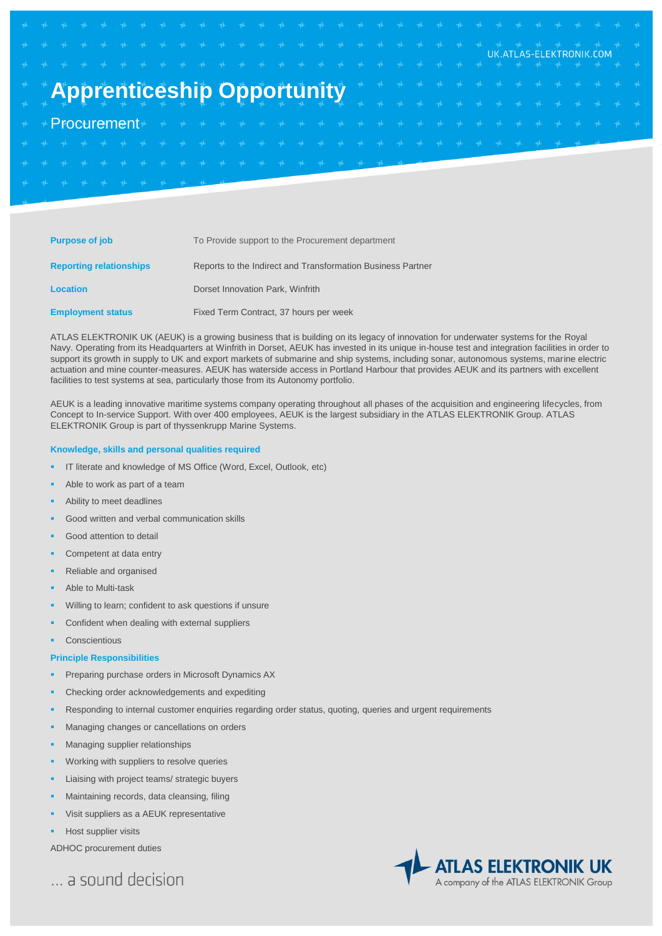# UK.ATLAS-ELEKTRONIK.COM **Apprenticeship Opportunity Procurement**

| <b>Purpose of job</b>          | To Provide support to the Procurement department            |
|--------------------------------|-------------------------------------------------------------|
| <b>Reporting relationships</b> | Reports to the Indirect and Transformation Business Partner |
| <b>Location</b>                | Dorset Innovation Park, Winfrith                            |
| <b>Employment status</b>       | Fixed Term Contract, 37 hours per week                      |

ATLAS ELEKTRONIK UK (AEUK) is a growing business that is building on its legacy of innovation for underwater systems for the Royal Navy. Operating from its Headquarters at Winfrith in Dorset, AEUK has invested in its unique in-house test and integration facilities in order to support its growth in supply to UK and export markets of submarine and ship systems, including sonar, autonomous systems, marine electric actuation and mine counter-measures. AEUK has waterside access in Portland Harbour that provides AEUK and its partners with excellent facilities to test systems at sea, particularly those from its Autonomy portfolio.

AEUK is a leading innovative maritime systems company operating throughout all phases of the acquisition and engineering lifecycles, from Concept to In-service Support. With over 400 employees, AEUK is the largest subsidiary in the ATLAS ELEKTRONIK Group. ATLAS ELEKTRONIK Group is part of thyssenkrupp Marine Systems.

## **Knowledge, skills and personal qualities required**

- IT literate and knowledge of MS Office (Word, Excel, Outlook, etc)
- Able to work as part of a team
- Ability to meet deadlines
- Good written and verbal communication skills
- Good attention to detail
- Competent at data entry
- Reliable and organised
- Able to Multi-task
- Willing to learn; confident to ask questions if unsure
- Confident when dealing with external suppliers
- **Conscientious**

#### **Principle Responsibilities**

- Preparing purchase orders in Microsoft Dynamics AX
- Checking order acknowledgements and expediting
- Responding to internal customer enquiries regarding order status, quoting, queries and urgent requirements
- Managing changes or cancellations on orders
- Managing supplier relationships
- Working with suppliers to resolve queries
- Liaising with project teams/ strategic buyers
- Maintaining records, data cleansing, filing
- Visit suppliers as a AEUK representative
- Host supplier visits

ADHOC procurement duties

... a sound decision